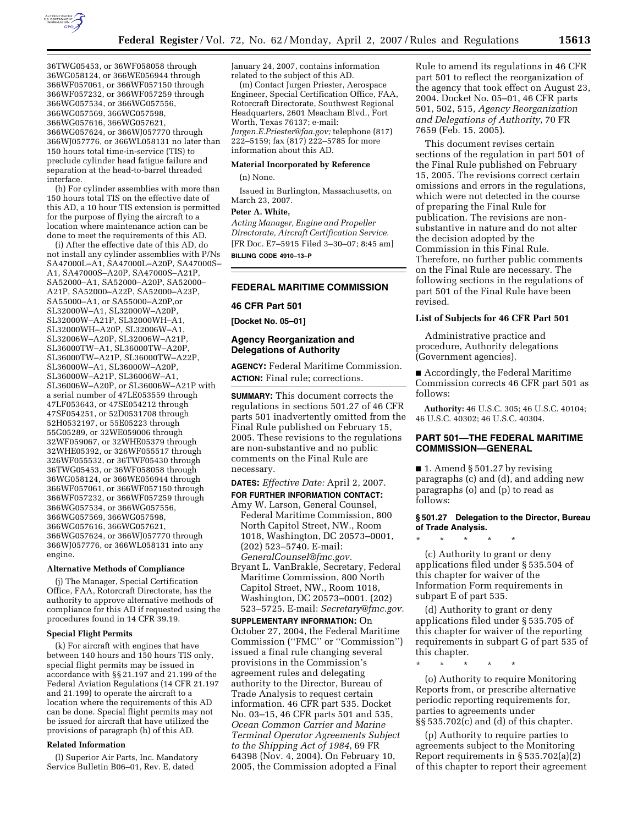

36TWG05453, or 36WF058058 through 36WG058124, or 366WE056944 through 366WF057061, or 366WF057150 through 366WF057232, or 366WF057259 through 366WG057534, or 366WG057556, 366WG057569, 366WG057598, 366WG057616, 366WG057621, 366WG057624, or 366WJ057770 through 366WJ057776, or 366WL058131 no later than 150 hours total time-in-service (TIS) to preclude cylinder head fatigue failure and separation at the head-to-barrel threaded interface.

(h) For cylinder assemblies with more than 150 hours total TIS on the effective date of this AD, a 10 hour TIS extension is permitted for the purpose of flying the aircraft to a location where maintenance action can be done to meet the requirements of this AD.

(i) After the effective date of this AD, do not install any cylinder assemblies with P/Ns SA47000L–A1, SA47000L–A20P, SA47000S– A1, SA47000S–A20P, SA47000S–A21P, SA52000–A1, SA52000–A20P, SA52000– A21P, SA52000–A22P, SA52000–A23P, SA55000–A1, or SA55000–A20P,or SL32000W–A1, SL32000W–A20P, SL32000W–A21P, SL32000WH–A1, SL32000WH–A20P, SL32006W–A1, SL32006W–A20P, SL32006W–A21P, SL36000TW–A1, SL36000TW–A20P, SL36000TW–A21P, SL36000TW–A22P, SL36000W–A1, SL36000W–A20P, SL36000W–A21P, SL36006W–A1, SL36006W–A20P, or SL36006W–A21P with a serial number of 47LE053559 through 47LF053643, or 47SE054212 through 47SF054251, or 52D0531708 through 52H0532197, or 55E05223 through 55G05289, or 32WE059006 through 32WF059067, or 32WHE05379 through 32WHE05392, or 326WF055517 through 326WF055532, or 36TWF05430 through 36TWG05453, or 36WF058058 through 36WG058124, or 366WE056944 through 366WF057061, or 366WF057150 through 366WF057232, or 366WF057259 through 366WG057534, or 366WG057556, 366WG057569, 366WG057598, 366WG057616, 366WG057621, 366WG057624, or 366WJ057770 through 366WJ057776, or 366WL058131 into any engine.

#### **Alternative Methods of Compliance**

(j) The Manager, Special Certification Office, FAA, Rotorcraft Directorate, has the authority to approve alternative methods of compliance for this AD if requested using the procedures found in 14 CFR 39.19.

#### **Special Flight Permits**

(k) For aircraft with engines that have between 140 hours and 150 hours TIS only, special flight permits may be issued in accordance with §§ 21.197 and 21.199 of the Federal Aviation Regulations (14 CFR 21.197 and 21.199) to operate the aircraft to a location where the requirements of this AD can be done. Special flight permits may not be issued for aircraft that have utilized the provisions of paragraph (h) of this AD.

#### **Related Information**

(l) Superior Air Parts, Inc. Mandatory Service Bulletin B06–01, Rev. E, dated

January 24, 2007, contains information related to the subject of this AD.

(m) Contact Jurgen Priester, Aerospace Engineer, Special Certification Office, FAA, Rotorcraft Directorate, Southwest Regional Headquarters, 2601 Meacham Blvd., Fort Worth, Texas 76137; e-mail: *Jurgen.E.Priester@faa.gov;* telephone (817) 222–5159; fax (817) 222–5785 for more information about this AD.

## **Material Incorporated by Reference**

(n) None.

Issued in Burlington, Massachusetts, on March 23, 2007.

#### **Peter A. White,**

*Acting Manager, Engine and Propeller Directorate, Aircraft Certification Service.*  [FR Doc. E7–5915 Filed 3–30–07; 8:45 am] **BILLING CODE 4910–13–P** 

# **FEDERAL MARITIME COMMISSION**

#### **46 CFR Part 501**

**[Docket No. 05–01]** 

## **Agency Reorganization and Delegations of Authority**

**AGENCY:** Federal Maritime Commission. **ACTION:** Final rule; corrections.

**SUMMARY:** This document corrects the regulations in sections 501.27 of 46 CFR parts 501 inadvertently omitted from the Final Rule published on February 15, 2005. These revisions to the regulations are non-substantive and no public comments on the Final Rule are necessary.

**DATES:** *Effective Date:* April 2, 2007.

- **FOR FURTHER INFORMATION CONTACT:**  Amy W. Larson, General Counsel, Federal Maritime Commission, 800 North Capitol Street, NW., Room 1018, Washington, DC 20573–0001, (202) 523–5740. E-mail: *GeneralCounsel@fmc.gov.*
- Bryant L. VanBrakle, Secretary, Federal Maritime Commission, 800 North Capitol Street, NW., Room 1018, Washington, DC 20573–0001. (202) 523–5725. E-mail: *Secretary@fmc.gov.*

**SUPPLEMENTARY INFORMATION:** On October 27, 2004, the Federal Maritime Commission (''FMC'' or ''Commission'') issued a final rule changing several provisions in the Commission's agreement rules and delegating authority to the Director, Bureau of Trade Analysis to request certain information. 46 CFR part 535. Docket No. 03–15, 46 CFR parts 501 and 535, *Ocean Common Carrier and Marine Terminal Operator Agreements Subject to the Shipping Act of 1984*, 69 FR 64398 (Nov. 4, 2004). On February 10, 2005, the Commission adopted a Final

Rule to amend its regulations in 46 CFR part 501 to reflect the reorganization of the agency that took effect on August 23, 2004. Docket No. 05–01, 46 CFR parts 501, 502, 515, *Agency Reorganization and Delegations of Authority*, 70 FR 7659 (Feb. 15, 2005).

This document revises certain sections of the regulation in part 501 of the Final Rule published on February 15, 2005. The revisions correct certain omissions and errors in the regulations, which were not detected in the course of preparing the Final Rule for publication. The revisions are nonsubstantive in nature and do not alter the decision adopted by the Commission in this Final Rule. Therefore, no further public comments on the Final Rule are necessary. The following sections in the regulations of part 501 of the Final Rule have been revised.

#### **List of Subjects for 46 CFR Part 501**

Administrative practice and procedure, Authority delegations (Government agencies).

■ Accordingly, the Federal Maritime Commission corrects 46 CFR part 501 as follows:

**Authority:** 46 U.S.C. 305; 46 U.S.C. 40104; 46 U.S.C. 40302; 46 U.S.C. 40304.

# **PART 501—THE FEDERAL MARITIME COMMISSION—GENERAL**

 $\blacksquare$  1. Amend § 501.27 by revising paragraphs (c) and (d), and adding new paragraphs (o) and (p) to read as follows:

## **§ 501.27 Delegation to the Director, Bureau of Trade Analysis.**

\* \* \* \* \*

(c) Authority to grant or deny applications filed under § 535.504 of this chapter for waiver of the Information Form requirements in subpart E of part 535.

(d) Authority to grant or deny applications filed under § 535.705 of this chapter for waiver of the reporting requirements in subpart G of part 535 of this chapter.

\* \* \* \* \*

(o) Authority to require Monitoring Reports from, or prescribe alternative periodic reporting requirements for, parties to agreements under §§ 535.702(c) and (d) of this chapter.

(p) Authority to require parties to agreements subject to the Monitoring Report requirements in § 535.702(a)(2) of this chapter to report their agreement